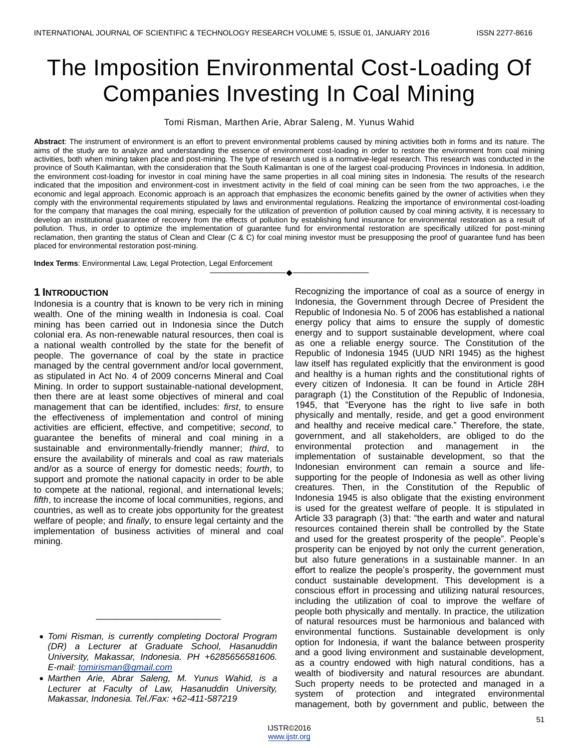# The Imposition Environmental Cost-Loading Of Companies Investing In Coal Mining

Tomi Risman, Marthen Arie, Abrar Saleng, M. Yunus Wahid

**Abstract**: The instrument of environment is an effort to prevent environmental problems caused by mining activities both in forms and its nature. The aims of the study are to analyze and understanding the essence of environment cost-loading in order to restore the environment from coal mining activities, both when mining taken place and post-mining. The type of research used is a normative-legal research. This research was conducted in the province of South Kalimantan, with the consideration that the South Kalimantan is one of the largest coal-producing Provinces in Indonesia. In addition, the environment cost-loading for investor in coal mining have the same properties in all coal mining sites in Indonesia. The results of the research indicated that the imposition and environment-cost in investment activity in the field of coal mining can be seen from the two approaches, i.e the economic and legal approach. Economic approach is an approach that emphasizes the economic benefits gained by the owner of activities when they comply with the environmental requirements stipulated by laws and environmental regulations. Realizing the importance of environmental cost-loading for the company that manages the coal mining, especially for the utilization of prevention of pollution caused by coal mining activity, it is necessary to develop an institutional guarantee of recovery from the effects of pollution by establishing fund insurance for environmental restoration as a result of pollution. Thus, in order to optimize the implementation of guarantee fund for environmental restoration are specifically utilized for post-mining reclamation, then granting the status of Clean and Clear (C & C) for coal mining investor must be presupposing the proof of guarantee fund has been placed for environmental restoration post-mining.

————————————————————

**Index Terms**: Environmental Law, Legal Protection, Legal Enforcement

## **1 INTRODUCTION**

Indonesia is a country that is known to be very rich in mining wealth. One of the mining wealth in Indonesia is coal. Coal mining has been carried out in Indonesia since the Dutch colonial era. As non-renewable natural resources, then coal is a national wealth controlled by the state for the benefit of people. The governance of coal by the state in practice managed by the central government and/or local government, as stipulated in Act No. 4 of 2009 concerns Mineral and Coal Mining. In order to support sustainable-national development, then there are at least some objectives of mineral and coal management that can be identified, includes: *first*, to ensure the effectiveness of implementation and control of mining activities are efficient, effective, and competitive; *second*, to guarantee the benefits of mineral and coal mining in a sustainable and environmentally-friendly manner; *third*, to ensure the availability of minerals and coal as raw materials and/or as a source of energy for domestic needs; *fourth*, to support and promote the national capacity in order to be able to compete at the national, regional, and international levels; *fifth*, to increase the income of local communities, regions, and countries, as well as to create jobs opportunity for the greatest welfare of people; and *finally*, to ensure legal certainty and the implementation of business activities of mineral and coal mining.

\_\_\_\_\_\_\_\_\_\_\_\_\_\_\_\_\_\_\_\_\_\_\_\_\_

Recognizing the importance of coal as a source of energy in Indonesia, the Government through Decree of President the Republic of Indonesia No. 5 of 2006 has established a national energy policy that aims to ensure the supply of domestic energy and to support sustainable development, where coal as one a reliable energy source. The Constitution of the Republic of Indonesia 1945 (UUD NRI 1945) as the highest law itself has regulated explicitly that the environment is good and healthy is a human rights and the constitutional rights of every citizen of Indonesia. It can be found in Article 28H paragraph (1) the Constitution of the Republic of Indonesia, 1945, that "Everyone has the right to live safe in both physically and mentally, reside, and get a good environment and healthy and receive medical care." Therefore, the state, government, and all stakeholders, are obliged to do the environmental protection and management in the implementation of sustainable development, so that the Indonesian environment can remain a source and lifesupporting for the people of Indonesia as well as other living creatures. Then, in the Constitution of the Republic of Indonesia 1945 is also obligate that the existing environment is used for the greatest welfare of people. It is stipulated in Article 33 paragraph (3) that: "the earth and water and natural resources contained therein shall be controlled by the State and used for the greatest prosperity of the people". People's prosperity can be enjoyed by not only the current generation, but also future generations in a sustainable manner. In an effort to realize the people's prosperity, the government must conduct sustainable development. This development is a conscious effort in processing and utilizing natural resources, including the utilization of coal to improve the welfare of people both physically and mentally. In practice, the utilization of natural resources must be harmonious and balanced with environmental functions. Sustainable development is only option for Indonesia, if want the balance between prosperity and a good living environment and sustainable development, as a country endowed with high natural conditions, has a wealth of biodiversity and natural resources are abundant. Such property needs to be protected and managed in a system of protection and integrated environmental management, both by government and public, between the

*Tomi Risman, is currently completing Doctoral Program (DR) a Lecturer at Graduate School, Hasanuddin University, Makassar, Indonesia. PH +6285656581606. E-mail: [tomirisman@gmail.com](mailto:tomirisman@gmail.com)*

*Marthen Arie, Abrar Saleng, M. Yunus Wahid, is a Lecturer at Faculty of Law, Hasanuddin University, Makassar, Indonesia. Tel./Fax: +62-411-587219*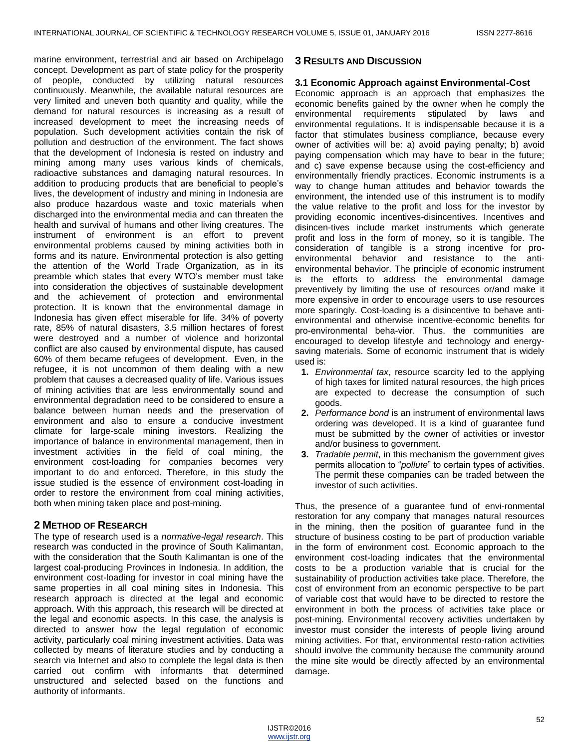marine environment, terrestrial and air based on Archipelago concept. Development as part of state policy for the prosperity of people, conducted by utilizing natural resources continuously. Meanwhile, the available natural resources are very limited and uneven both quantity and quality, while the demand for natural resources is increasing as a result of increased development to meet the increasing needs of population. Such development activities contain the risk of pollution and destruction of the environment. The fact shows that the development of Indonesia is rested on industry and mining among many uses various kinds of chemicals, radioactive substances and damaging natural resources. In addition to producing products that are beneficial to people's lives, the development of industry and mining in Indonesia are also produce hazardous waste and toxic materials when discharged into the environmental media and can threaten the health and survival of humans and other living creatures. The instrument of environment is an effort to prevent environmental problems caused by mining activities both in forms and its nature. Environmental protection is also getting the attention of the World Trade Organization, as in its preamble which states that every WTO's member must take into consideration the objectives of sustainable development and the achievement of protection and environmental protection. It is known that the environmental damage in Indonesia has given effect miserable for life. 34% of poverty rate, 85% of natural disasters, 3.5 million hectares of forest were destroyed and a number of violence and horizontal conflict are also caused by environmental dispute, has caused 60% of them became refugees of development. Even, in the refugee, it is not uncommon of them dealing with a new problem that causes a decreased quality of life. Various issues of mining activities that are less environmentally sound and environmental degradation need to be considered to ensure a balance between human needs and the preservation of environment and also to ensure a conducive investment climate for large-scale mining investors. Realizing the importance of balance in environmental management, then in investment activities in the field of coal mining, the environment cost-loading for companies becomes very important to do and enforced. Therefore, in this study the issue studied is the essence of environment cost-loading in order to restore the environment from coal mining activities, both when mining taken place and post-mining.

# **2 METHOD OF RESEARCH**

The type of research used is a *normative-legal research*. This research was conducted in the province of South Kalimantan, with the consideration that the South Kalimantan is one of the largest coal-producing Provinces in Indonesia. In addition, the environment cost-loading for investor in coal mining have the same properties in all coal mining sites in Indonesia. This research approach is directed at the legal and economic approach. With this approach, this research will be directed at the legal and economic aspects. In this case, the analysis is directed to answer how the legal regulation of economic activity, particularly coal mining investment activities. Data was collected by means of literature studies and by conducting a search via Internet and also to complete the legal data is then carried out confirm with informants that determined unstructured and selected based on the functions and authority of informants.

#### **3 RESULTS AND DISCUSSION**

#### **3.1 Economic Approach against Environmental-Cost**

Economic approach is an approach that emphasizes the economic benefits gained by the owner when he comply the environmental requirements stipulated by laws and environmental regulations. It is indispensable because it is a factor that stimulates business compliance, because every owner of activities will be: a) avoid paying penalty; b) avoid paying compensation which may have to bear in the future; and c) save expense because using the cost-efficiency and environmentally friendly practices. Economic instruments is a way to change human attitudes and behavior towards the environment, the intended use of this instrument is to modify the value relative to the profit and loss for the investor by providing economic incentives-disincentives. Incentives and disincen-tives include market instruments which generate profit and loss in the form of money, so it is tangible. The consideration of tangible is a strong incentive for proenvironmental behavior and resistance to the antienvironmental behavior. The principle of economic instrument is the efforts to address the environmental damage preventively by limiting the use of resources or/and make it more expensive in order to encourage users to use resources more sparingly. Cost-loading is a disincentive to behave antienvironmental and otherwise incentive-economic benefits for pro-environmental beha-vior. Thus, the communities are encouraged to develop lifestyle and technology and energysaving materials. Some of economic instrument that is widely used is:

- **1.** *Environmental tax*, resource scarcity led to the applying of high taxes for limited natural resources, the high prices are expected to decrease the consumption of such goods.
- **2.** *Performance bond* is an instrument of environmental laws ordering was developed. It is a kind of guarantee fund must be submitted by the owner of activities or investor and/or business to government.
- **3.** *Tradable permit*, in this mechanism the government gives permits allocation to "*pollute*" to certain types of activities. The permit these companies can be traded between the investor of such activities.

Thus, the presence of a guarantee fund of envi-ronmental restoration for any company that manages natural resources in the mining, then the position of guarantee fund in the structure of business costing to be part of production variable in the form of environment cost. Economic approach to the environment cost-loading indicates that the environmental costs to be a production variable that is crucial for the sustainability of production activities take place. Therefore, the cost of environment from an economic perspective to be part of variable cost that would have to be directed to restore the environment in both the process of activities take place or post-mining. Environmental recovery activities undertaken by investor must consider the interests of people living around mining activities. For that, environmental resto-ration activities should involve the community because the community around the mine site would be directly affected by an environmental damage.

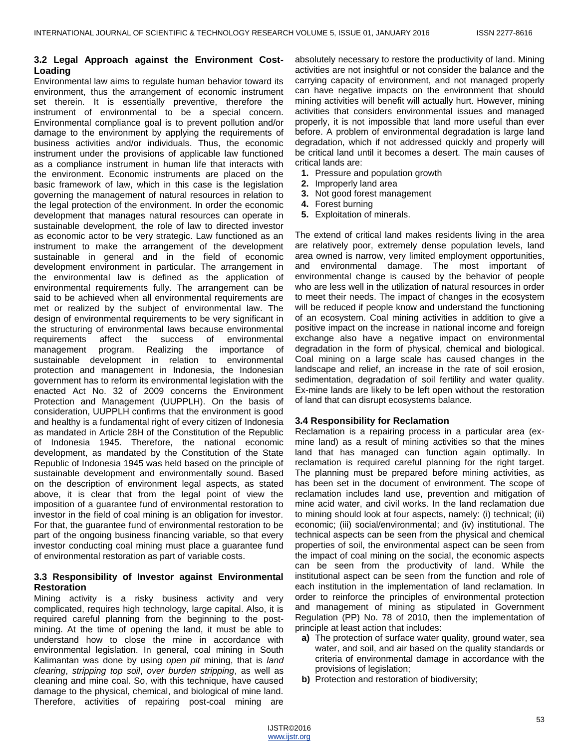#### **3.2 Legal Approach against the Environment Cost-Loading**

Environmental law aims to regulate human behavior toward its environment, thus the arrangement of economic instrument set therein. It is essentially preventive, therefore the instrument of environmental to be a special concern. Environmental compliance goal is to prevent pollution and/or damage to the environment by applying the requirements of business activities and/or individuals. Thus, the economic instrument under the provisions of applicable law functioned as a compliance instrument in human life that interacts with the environment. Economic instruments are placed on the basic framework of law, which in this case is the legislation governing the management of natural resources in relation to the legal protection of the environment. In order the economic development that manages natural resources can operate in sustainable development, the role of law to directed investor as economic actor to be very strategic. Law functioned as an instrument to make the arrangement of the development sustainable in general and in the field of economic development environment in particular. The arrangement in the environmental law is defined as the application of environmental requirements fully. The arrangement can be said to be achieved when all environmental requirements are met or realized by the subject of environmental law. The design of environmental requirements to be very significant in the structuring of environmental laws because environmental requirements affect the success of environmental management program. Realizing the importance of sustainable development in relation to environmental protection and management in Indonesia, the Indonesian government has to reform its environmental legislation with the enacted Act No. 32 of 2009 concerns the Environment Protection and Management (UUPPLH). On the basis of consideration, UUPPLH confirms that the environment is good and healthy is a fundamental right of every citizen of Indonesia as mandated in Article 28H of the Constitution of the Republic of Indonesia 1945. Therefore, the national economic development, as mandated by the Constitution of the State Republic of Indonesia 1945 was held based on the principle of sustainable development and environmentally sound. Based on the description of environment legal aspects, as stated above, it is clear that from the legal point of view the imposition of a guarantee fund of environmental restoration to investor in the field of coal mining is an obligation for investor. For that, the guarantee fund of environmental restoration to be part of the ongoing business financing variable, so that every investor conducting coal mining must place a guarantee fund of environmental restoration as part of variable costs.

### **3.3 Responsibility of Investor against Environmental Restoration**

Mining activity is a risky business activity and very complicated, requires high technology, large capital. Also, it is required careful planning from the beginning to the postmining. At the time of opening the land, it must be able to understand how to close the mine in accordance with environmental legislation. In general, coal mining in South Kalimantan was done by using *open pit* mining, that is *land clearing*, *stripping top soil*, *over burden stripping*, as well as cleaning and mine coal. So, with this technique, have caused damage to the physical, chemical, and biological of mine land. Therefore, activities of repairing post-coal mining are

absolutely necessary to restore the productivity of land. Mining activities are not insightful or not consider the balance and the carrying capacity of environment, and not managed properly can have negative impacts on the environment that should mining activities will benefit will actually hurt. However, mining activities that considers environmental issues and managed properly, it is not impossible that land more useful than ever before. A problem of environmental degradation is large land degradation, which if not addressed quickly and properly will be critical land until it becomes a desert. The main causes of critical lands are:

- **1.** Pressure and population growth
- **2.** Improperly land area
- **3.** Not good forest management
- **4.** Forest burning
- **5.** Exploitation of minerals.

The extend of critical land makes residents living in the area are relatively poor, extremely dense population levels, land area owned is narrow, very limited employment opportunities, and environmental damage. The most important of environmental change is caused by the behavior of people who are less well in the utilization of natural resources in order to meet their needs. The impact of changes in the ecosystem will be reduced if people know and understand the functioning of an ecosystem. Coal mining activities in addition to give a positive impact on the increase in national income and foreign exchange also have a negative impact on environmental degradation in the form of physical, chemical and biological. Coal mining on a large scale has caused changes in the landscape and relief, an increase in the rate of soil erosion, sedimentation, degradation of soil fertility and water quality. Ex-mine lands are likely to be left open without the restoration of land that can disrupt ecosystems balance.

#### **3.4 Responsibility for Reclamation**

Reclamation is a repairing process in a particular area (exmine land) as a result of mining activities so that the mines land that has managed can function again optimally. In reclamation is required careful planning for the right target. The planning must be prepared before mining activities, as has been set in the document of environment. The scope of reclamation includes land use, prevention and mitigation of mine acid water, and civil works. In the land reclamation due to mining should look at four aspects, namely: (i) technical; (ii) economic; (iii) social/environmental; and (iv) institutional. The technical aspects can be seen from the physical and chemical properties of soil, the environmental aspect can be seen from the impact of coal mining on the social, the economic aspects can be seen from the productivity of land. While the institutional aspect can be seen from the function and role of each institution in the implementation of land reclamation. In order to reinforce the principles of environmental protection and management of mining as stipulated in Government Regulation (PP) No. 78 of 2010, then the implementation of principle at least action that includes:

- **a)** The protection of surface water quality, ground water, sea water, and soil, and air based on the quality standards or criteria of environmental damage in accordance with the provisions of legislation;
- **b)** Protection and restoration of biodiversity;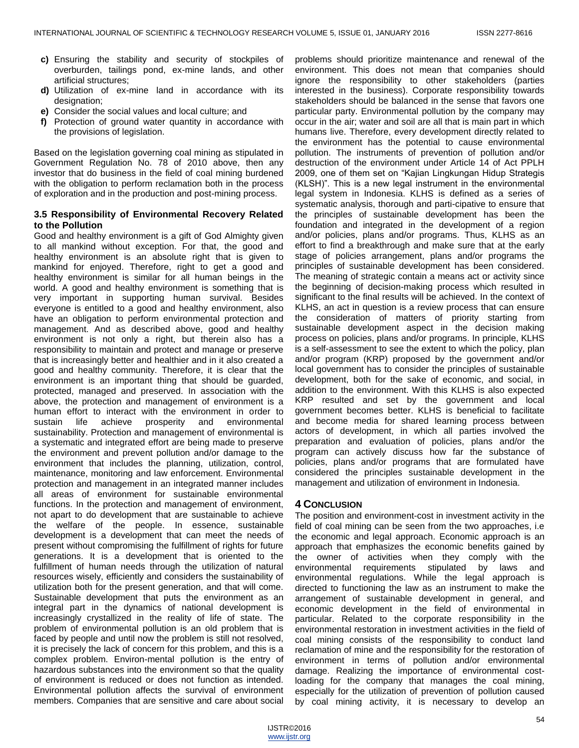- **c)** Ensuring the stability and security of stockpiles of overburden, tailings pond, ex-mine lands, and other artificial structures;
- **d)** Utilization of ex-mine land in accordance with its designation;
- **e)** Consider the social values and local culture; and
- **f)** Protection of ground water quantity in accordance with the provisions of legislation.

Based on the legislation governing coal mining as stipulated in Government Regulation No. 78 of 2010 above, then any investor that do business in the field of coal mining burdened with the obligation to perform reclamation both in the process of exploration and in the production and post-mining process.

#### **3.5 Responsibility of Environmental Recovery Related to the Pollution**

Good and healthy environment is a gift of God Almighty given to all mankind without exception. For that, the good and healthy environment is an absolute right that is given to mankind for enjoyed. Therefore, right to get a good and healthy environment is similar for all human beings in the world. A good and healthy environment is something that is very important in supporting human survival. Besides everyone is entitled to a good and healthy environment, also have an obligation to perform environmental protection and management. And as described above, good and healthy environment is not only a right, but therein also has a responsibility to maintain and protect and manage or preserve that is increasingly better and healthier and in it also created a good and healthy community. Therefore, it is clear that the environment is an important thing that should be guarded, protected, managed and preserved. In association with the above, the protection and management of environment is a human effort to interact with the environment in order to sustain life achieve prosperity and environmental sustainability. Protection and management of environmental is a systematic and integrated effort are being made to preserve the environment and prevent pollution and/or damage to the environment that includes the planning, utilization, control, maintenance, monitoring and law enforcement. Environmental protection and management in an integrated manner includes all areas of environment for sustainable environmental functions. In the protection and management of environment, not apart to do development that are sustainable to achieve the welfare of the people. In essence, sustainable development is a development that can meet the needs of present without compromising the fulfillment of rights for future generations. It is a development that is oriented to the fulfillment of human needs through the utilization of natural resources wisely, efficiently and considers the sustainability of utilization both for the present generation, and that will come. Sustainable development that puts the environment as an integral part in the dynamics of national development is increasingly crystallized in the reality of life of state. The problem of environmental pollution is an old problem that is faced by people and until now the problem is still not resolved, it is precisely the lack of concern for this problem, and this is a complex problem. Environ-mental pollution is the entry of hazardous substances into the environment so that the quality of environment is reduced or does not function as intended. Environmental pollution affects the survival of environment members. Companies that are sensitive and care about social

problems should prioritize maintenance and renewal of the environment. This does not mean that companies should ignore the responsibility to other stakeholders (parties interested in the business). Corporate responsibility towards stakeholders should be balanced in the sense that favors one particular party. Environmental pollution by the company may occur in the air; water and soil are all that is main part in which humans live. Therefore, every development directly related to the environment has the potential to cause environmental pollution. The instruments of prevention of pollution and/or destruction of the environment under Article 14 of Act PPLH 2009, one of them set on "Kajian Lingkungan Hidup Strategis (KLSH)". This is a new legal instrument in the environmental legal system in Indonesia. KLHS is defined as a series of systematic analysis, thorough and parti-cipative to ensure that the principles of sustainable development has been the foundation and integrated in the development of a region and/or policies, plans and/or programs. Thus, KLHS as an effort to find a breakthrough and make sure that at the early stage of policies arrangement, plans and/or programs the principles of sustainable development has been considered. The meaning of strategic contain a means act or activity since the beginning of decision-making process which resulted in significant to the final results will be achieved. In the context of KLHS, an act in question is a review process that can ensure the consideration of matters of priority starting from sustainable development aspect in the decision making process on policies, plans and/or programs. In principle, KLHS is a self-assessment to see the extent to which the policy, plan and/or program (KRP) proposed by the government and/or local government has to consider the principles of sustainable development, both for the sake of economic, and social, in addition to the environment. With this KLHS is also expected KRP resulted and set by the government and local government becomes better. KLHS is beneficial to facilitate and become media for shared learning process between actors of development, in which all parties involved the preparation and evaluation of policies, plans and/or the program can actively discuss how far the substance of policies, plans and/or programs that are formulated have considered the principles sustainable development in the management and utilization of environment in Indonesia.

### **4 CONCLUSION**

The position and environment-cost in investment activity in the field of coal mining can be seen from the two approaches, i.e the economic and legal approach. Economic approach is an approach that emphasizes the economic benefits gained by the owner of activities when they comply with the environmental requirements stipulated by laws and environmental regulations. While the legal approach is directed to functioning the law as an instrument to make the arrangement of sustainable development in general, and economic development in the field of environmental in particular. Related to the corporate responsibility in the environmental restoration in investment activities in the field of coal mining consists of the responsibility to conduct land reclamation of mine and the responsibility for the restoration of environment in terms of pollution and/or environmental damage. Realizing the importance of environmental costloading for the company that manages the coal mining, especially for the utilization of prevention of pollution caused by coal mining activity, it is necessary to develop an